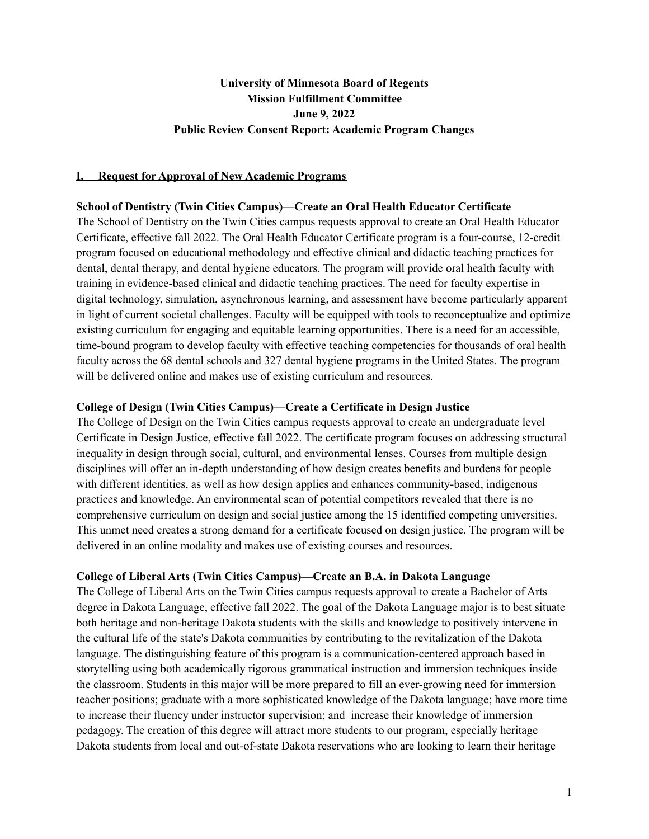# **University of Minnesota Board of Regents Mission Fulfillment Committee June 9, 2022 Public Review Consent Report: Academic Program Changes**

### **I. Request for Approval of New Academic Programs**

### **School of Dentistry (Twin Cities Campus)—Create an Oral Health Educator Certificate**

The School of Dentistry on the Twin Cities campus requests approval to create an Oral Health Educator Certificate, effective fall 2022. The Oral Health Educator Certificate program is a four-course, 12-credit program focused on educational methodology and effective clinical and didactic teaching practices for dental, dental therapy, and dental hygiene educators. The program will provide oral health faculty with training in evidence-based clinical and didactic teaching practices. The need for faculty expertise in digital technology, simulation, asynchronous learning, and assessment have become particularly apparent in light of current societal challenges. Faculty will be equipped with tools to reconceptualize and optimize existing curriculum for engaging and equitable learning opportunities. There is a need for an accessible, time-bound program to develop faculty with effective teaching competencies for thousands of oral health faculty across the 68 dental schools and 327 dental hygiene programs in the United States. The program will be delivered online and makes use of existing curriculum and resources.

#### **College of Design (Twin Cities Campus)—Create a Certificate in Design Justice**

The College of Design on the Twin Cities campus requests approval to create an undergraduate level Certificate in Design Justice, effective fall 2022. The certificate program focuses on addressing structural inequality in design through social, cultural, and environmental lenses. Courses from multiple design disciplines will offer an in-depth understanding of how design creates benefits and burdens for people with different identities, as well as how design applies and enhances community-based, indigenous practices and knowledge. An environmental scan of potential competitors revealed that there is no comprehensive curriculum on design and social justice among the 15 identified competing universities. This unmet need creates a strong demand for a certificate focused on design justice. The program will be delivered in an online modality and makes use of existing courses and resources.

#### **College of Liberal Arts (Twin Cities Campus)—Create an B.A. in Dakota Language**

The College of Liberal Arts on the Twin Cities campus requests approval to create a Bachelor of Arts degree in Dakota Language, effective fall 2022. The goal of the Dakota Language major is to best situate both heritage and non-heritage Dakota students with the skills and knowledge to positively intervene in the cultural life of the state's Dakota communities by contributing to the revitalization of the Dakota language. The distinguishing feature of this program is a communication-centered approach based in storytelling using both academically rigorous grammatical instruction and immersion techniques inside the classroom. Students in this major will be more prepared to fill an ever-growing need for immersion teacher positions; graduate with a more sophisticated knowledge of the Dakota language; have more time to increase their fluency under instructor supervision; and increase their knowledge of immersion pedagogy. The creation of this degree will attract more students to our program, especially heritage Dakota students from local and out-of-state Dakota reservations who are looking to learn their heritage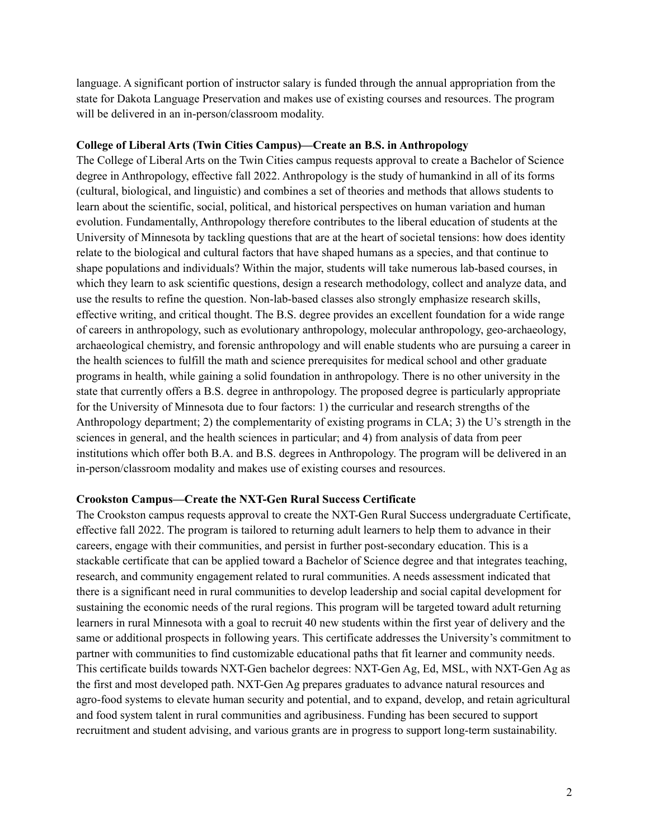language. A significant portion of instructor salary is funded through the annual appropriation from the state for Dakota Language Preservation and makes use of existing courses and resources. The program will be delivered in an in-person/classroom modality.

#### **College of Liberal Arts (Twin Cities Campus)—Create an B.S. in Anthropology**

The College of Liberal Arts on the Twin Cities campus requests approval to create a Bachelor of Science degree in Anthropology, effective fall 2022. Anthropology is the study of humankind in all of its forms (cultural, biological, and linguistic) and combines a set of theories and methods that allows students to learn about the scientific, social, political, and historical perspectives on human variation and human evolution. Fundamentally, Anthropology therefore contributes to the liberal education of students at the University of Minnesota by tackling questions that are at the heart of societal tensions: how does identity relate to the biological and cultural factors that have shaped humans as a species, and that continue to shape populations and individuals? Within the major, students will take numerous lab-based courses, in which they learn to ask scientific questions, design a research methodology, collect and analyze data, and use the results to refine the question. Non-lab-based classes also strongly emphasize research skills, effective writing, and critical thought. The B.S. degree provides an excellent foundation for a wide range of careers in anthropology, such as evolutionary anthropology, molecular anthropology, geo-archaeology, archaeological chemistry, and forensic anthropology and will enable students who are pursuing a career in the health sciences to fulfill the math and science prerequisites for medical school and other graduate programs in health, while gaining a solid foundation in anthropology. There is no other university in the state that currently offers a B.S. degree in anthropology. The proposed degree is particularly appropriate for the University of Minnesota due to four factors: 1) the curricular and research strengths of the Anthropology department; 2) the complementarity of existing programs in CLA; 3) the U's strength in the sciences in general, and the health sciences in particular; and 4) from analysis of data from peer institutions which offer both B.A. and B.S. degrees in Anthropology. The program will be delivered in an in-person/classroom modality and makes use of existing courses and resources.

#### **Crookston Campus—Create the NXT-Gen Rural Success Certificate**

The Crookston campus requests approval to create the NXT-Gen Rural Success undergraduate Certificate, effective fall 2022. The program is tailored to returning adult learners to help them to advance in their careers, engage with their communities, and persist in further post-secondary education. This is a stackable certificate that can be applied toward a Bachelor of Science degree and that integrates teaching, research, and community engagement related to rural communities. A needs assessment indicated that there is a significant need in rural communities to develop leadership and social capital development for sustaining the economic needs of the rural regions. This program will be targeted toward adult returning learners in rural Minnesota with a goal to recruit 40 new students within the first year of delivery and the same or additional prospects in following years. This certificate addresses the University's commitment to partner with communities to find customizable educational paths that fit learner and community needs. This certificate builds towards NXT-Gen bachelor degrees: NXT-Gen Ag, Ed, MSL, with NXT-Gen Ag as the first and most developed path. NXT-Gen Ag prepares graduates to advance natural resources and agro-food systems to elevate human security and potential, and to expand, develop, and retain agricultural and food system talent in rural communities and agribusiness. Funding has been secured to support recruitment and student advising, and various grants are in progress to support long-term sustainability.